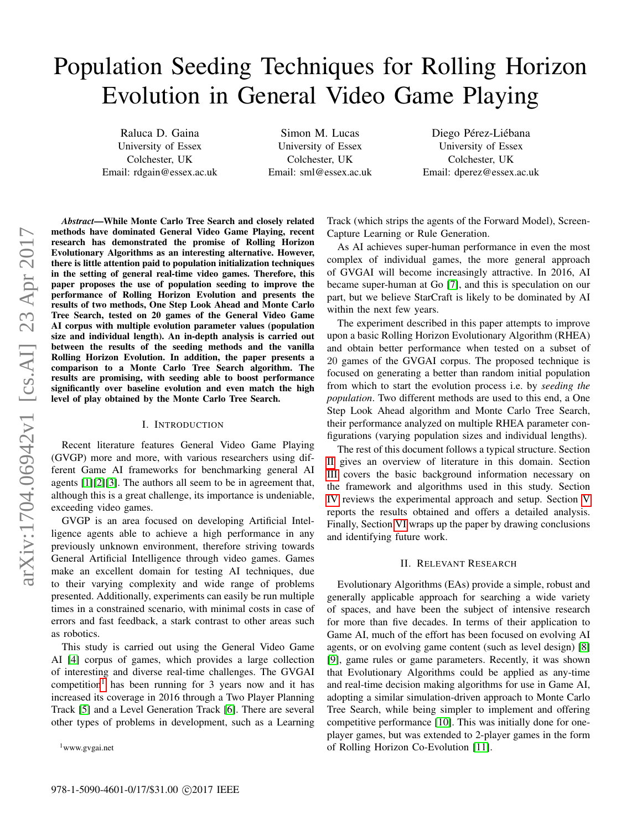# Population Seeding Techniques for Rolling Horizon Evolution in General Video Game Playing

Raluca D. Gaina University of Essex Colchester, UK Email: rdgain@essex.ac.uk

Simon M. Lucas University of Essex Colchester, UK Email: sml@essex.ac.uk

Diego Pérez-Liébana University of Essex Colchester, UK Email: dperez@essex.ac.uk

*Abstract*—While Monte Carlo Tree Search and closely related methods have dominated General Video Game Playing, recent research has demonstrated the promise of Rolling Horizon Evolutionary Algorithms as an interesting alternative. However, there is little attention paid to population initialization techniques in the setting of general real-time video games. Therefore, this paper proposes the use of population seeding to improve the performance of Rolling Horizon Evolution and presents the results of two methods, One Step Look Ahead and Monte Carlo Tree Search, tested on 20 games of the General Video Game AI corpus with multiple evolution parameter values (population size and individual length). An in-depth analysis is carried out between the results of the seeding methods and the vanilla Rolling Horizon Evolution. In addition, the paper presents a comparison to a Monte Carlo Tree Search algorithm. The results are promising, with seeding able to boost performance significantly over baseline evolution and even match the high level of play obtained by the Monte Carlo Tree Search.

## I. INTRODUCTION

Recent literature features General Video Game Playing (GVGP) more and more, with various researchers using different Game AI frameworks for benchmarking general AI agents [\[1\]](#page-5-0)[\[2\]](#page-5-1)[\[3\]](#page-5-2). The authors all seem to be in agreement that, although this is a great challenge, its importance is undeniable, exceeding video games.

GVGP is an area focused on developing Artificial Intelligence agents able to achieve a high performance in any previously unknown environment, therefore striving towards General Artificial Intelligence through video games. Games make an excellent domain for testing AI techniques, due to their varying complexity and wide range of problems presented. Additionally, experiments can easily be run multiple times in a constrained scenario, with minimal costs in case of errors and fast feedback, a stark contrast to other areas such as robotics.

This study is carried out using the General Video Game AI [\[4\]](#page-6-0) corpus of games, which provides a large collection of interesting and diverse real-time challenges. The GVGAI competition<sup>[1](#page-0-0)</sup> has been running for 3 years now and it has increased its coverage in 2016 through a Two Player Planning Track [\[5\]](#page-6-1) and a Level Generation Track [\[6\]](#page-6-2). There are several other types of problems in development, such as a Learning

<span id="page-0-0"></span><sup>1</sup>www.gvgai.net

Track (which strips the agents of the Forward Model), Screen-Capture Learning or Rule Generation.

As AI achieves super-human performance in even the most complex of individual games, the more general approach of GVGAI will become increasingly attractive. In 2016, AI became super-human at Go [\[7\]](#page-6-3), and this is speculation on our part, but we believe StarCraft is likely to be dominated by AI within the next few years.

The experiment described in this paper attempts to improve upon a basic Rolling Horizon Evolutionary Algorithm (RHEA) and obtain better performance when tested on a subset of 20 games of the GVGAI corpus. The proposed technique is focused on generating a better than random initial population from which to start the evolution process i.e. by *seeding the population*. Two different methods are used to this end, a One Step Look Ahead algorithm and Monte Carlo Tree Search, their performance analyzed on multiple RHEA parameter configurations (varying population sizes and individual lengths).

The rest of this document follows a typical structure. Section [II](#page-0-1) gives an overview of literature in this domain. Section [III](#page-1-0) covers the basic background information necessary on the framework and algorithms used in this study. Section [IV](#page-2-0) reviews the experimental approach and setup. Section [V](#page-3-0) reports the results obtained and offers a detailed analysis. Finally, Section [VI](#page-5-3) wraps up the paper by drawing conclusions and identifying future work.

## II. RELEVANT RESEARCH

<span id="page-0-1"></span>Evolutionary Algorithms (EAs) provide a simple, robust and generally applicable approach for searching a wide variety of spaces, and have been the subject of intensive research for more than five decades. In terms of their application to Game AI, much of the effort has been focused on evolving AI agents, or on evolving game content (such as level design) [\[8\]](#page-6-4) [\[9\]](#page-6-5), game rules or game parameters. Recently, it was shown that Evolutionary Algorithms could be applied as any-time and real-time decision making algorithms for use in Game AI, adopting a similar simulation-driven approach to Monte Carlo Tree Search, while being simpler to implement and offering competitive performance [\[10\]](#page-6-6). This was initially done for oneplayer games, but was extended to 2-player games in the form of Rolling Horizon Co-Evolution [\[11\]](#page-6-7).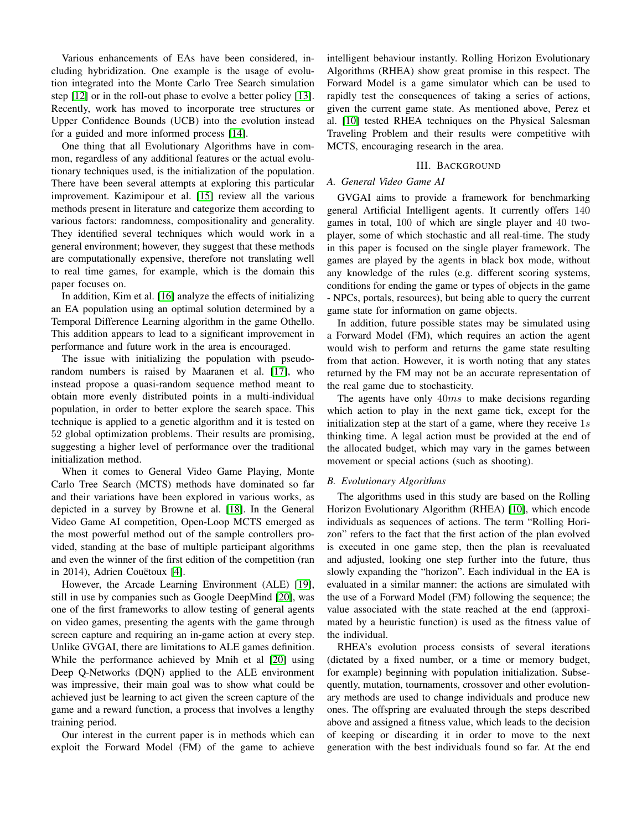Various enhancements of EAs have been considered, including hybridization. One example is the usage of evolution integrated into the Monte Carlo Tree Search simulation step [\[12\]](#page-6-8) or in the roll-out phase to evolve a better policy [\[13\]](#page-6-9). Recently, work has moved to incorporate tree structures or Upper Confidence Bounds (UCB) into the evolution instead for a guided and more informed process [\[14\]](#page-6-10).

One thing that all Evolutionary Algorithms have in common, regardless of any additional features or the actual evolutionary techniques used, is the initialization of the population. There have been several attempts at exploring this particular improvement. Kazimipour et al. [\[15\]](#page-6-11) review all the various methods present in literature and categorize them according to various factors: randomness, compositionality and generality. They identified several techniques which would work in a general environment; however, they suggest that these methods are computationally expensive, therefore not translating well to real time games, for example, which is the domain this paper focuses on.

In addition, Kim et al. [\[16\]](#page-6-12) analyze the effects of initializing an EA population using an optimal solution determined by a Temporal Difference Learning algorithm in the game Othello. This addition appears to lead to a significant improvement in performance and future work in the area is encouraged.

The issue with initializing the population with pseudorandom numbers is raised by Maaranen et al. [\[17\]](#page-6-13), who instead propose a quasi-random sequence method meant to obtain more evenly distributed points in a multi-individual population, in order to better explore the search space. This technique is applied to a genetic algorithm and it is tested on 52 global optimization problems. Their results are promising, suggesting a higher level of performance over the traditional initialization method.

When it comes to General Video Game Playing, Monte Carlo Tree Search (MCTS) methods have dominated so far and their variations have been explored in various works, as depicted in a survey by Browne et al. [\[18\]](#page-6-14). In the General Video Game AI competition, Open-Loop MCTS emerged as the most powerful method out of the sample controllers provided, standing at the base of multiple participant algorithms and even the winner of the first edition of the competition (ran in 2014), Adrien Couëtoux [\[4\]](#page-6-0).

However, the Arcade Learning Environment (ALE) [\[19\]](#page-6-15), still in use by companies such as Google DeepMind [\[20\]](#page-6-16), was one of the first frameworks to allow testing of general agents on video games, presenting the agents with the game through screen capture and requiring an in-game action at every step. Unlike GVGAI, there are limitations to ALE games definition. While the performance achieved by Mnih et al [\[20\]](#page-6-16) using Deep Q-Networks (DQN) applied to the ALE environment was impressive, their main goal was to show what could be achieved just be learning to act given the screen capture of the game and a reward function, a process that involves a lengthy training period.

Our interest in the current paper is in methods which can exploit the Forward Model (FM) of the game to achieve intelligent behaviour instantly. Rolling Horizon Evolutionary Algorithms (RHEA) show great promise in this respect. The Forward Model is a game simulator which can be used to rapidly test the consequences of taking a series of actions, given the current game state. As mentioned above, Perez et al. [\[10\]](#page-6-6) tested RHEA techniques on the Physical Salesman Traveling Problem and their results were competitive with MCTS, encouraging research in the area.

## III. BACKGROUND

## <span id="page-1-0"></span>*A. General Video Game AI*

GVGAI aims to provide a framework for benchmarking general Artificial Intelligent agents. It currently offers 140 games in total, 100 of which are single player and 40 twoplayer, some of which stochastic and all real-time. The study in this paper is focused on the single player framework. The games are played by the agents in black box mode, without any knowledge of the rules (e.g. different scoring systems, conditions for ending the game or types of objects in the game - NPCs, portals, resources), but being able to query the current game state for information on game objects.

In addition, future possible states may be simulated using a Forward Model (FM), which requires an action the agent would wish to perform and returns the game state resulting from that action. However, it is worth noting that any states returned by the FM may not be an accurate representation of the real game due to stochasticity.

The agents have only 40ms to make decisions regarding which action to play in the next game tick, except for the initialization step at the start of a game, where they receive  $1s$ thinking time. A legal action must be provided at the end of the allocated budget, which may vary in the games between movement or special actions (such as shooting).

#### *B. Evolutionary Algorithms*

The algorithms used in this study are based on the Rolling Horizon Evolutionary Algorithm (RHEA) [\[10\]](#page-6-6), which encode individuals as sequences of actions. The term "Rolling Horizon" refers to the fact that the first action of the plan evolved is executed in one game step, then the plan is reevaluated and adjusted, looking one step further into the future, thus slowly expanding the "horizon". Each individual in the EA is evaluated in a similar manner: the actions are simulated with the use of a Forward Model (FM) following the sequence; the value associated with the state reached at the end (approximated by a heuristic function) is used as the fitness value of the individual.

RHEA's evolution process consists of several iterations (dictated by a fixed number, or a time or memory budget, for example) beginning with population initialization. Subsequently, mutation, tournaments, crossover and other evolutionary methods are used to change individuals and produce new ones. The offspring are evaluated through the steps described above and assigned a fitness value, which leads to the decision of keeping or discarding it in order to move to the next generation with the best individuals found so far. At the end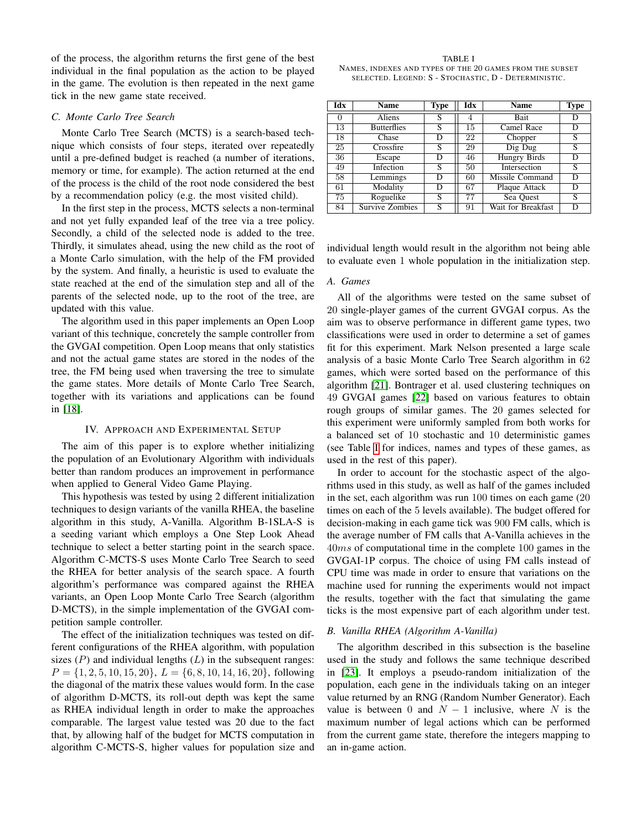of the process, the algorithm returns the first gene of the best individual in the final population as the action to be played in the game. The evolution is then repeated in the next game tick in the new game state received.

## <span id="page-2-2"></span>*C. Monte Carlo Tree Search*

Monte Carlo Tree Search (MCTS) is a search-based technique which consists of four steps, iterated over repeatedly until a pre-defined budget is reached (a number of iterations, memory or time, for example). The action returned at the end of the process is the child of the root node considered the best by a recommendation policy (e.g. the most visited child).

In the first step in the process, MCTS selects a non-terminal and not yet fully expanded leaf of the tree via a tree policy. Secondly, a child of the selected node is added to the tree. Thirdly, it simulates ahead, using the new child as the root of a Monte Carlo simulation, with the help of the FM provided by the system. And finally, a heuristic is used to evaluate the state reached at the end of the simulation step and all of the parents of the selected node, up to the root of the tree, are updated with this value.

The algorithm used in this paper implements an Open Loop variant of this technique, concretely the sample controller from the GVGAI competition. Open Loop means that only statistics and not the actual game states are stored in the nodes of the tree, the FM being used when traversing the tree to simulate the game states. More details of Monte Carlo Tree Search, together with its variations and applications can be found in [\[18\]](#page-6-14).

## IV. APPROACH AND EXPERIMENTAL SETUP

<span id="page-2-0"></span>The aim of this paper is to explore whether initializing the population of an Evolutionary Algorithm with individuals better than random produces an improvement in performance when applied to General Video Game Playing.

This hypothesis was tested by using 2 different initialization techniques to design variants of the vanilla RHEA, the baseline algorithm in this study, A-Vanilla. Algorithm B-1SLA-S is a seeding variant which employs a One Step Look Ahead technique to select a better starting point in the search space. Algorithm C-MCTS-S uses Monte Carlo Tree Search to seed the RHEA for better analysis of the search space. A fourth algorithm's performance was compared against the RHEA variants, an Open Loop Monte Carlo Tree Search (algorithm D-MCTS), in the simple implementation of the GVGAI competition sample controller.

The effect of the initialization techniques was tested on different configurations of the RHEA algorithm, with population sizes  $(P)$  and individual lengths  $(L)$  in the subsequent ranges:  $P = \{1, 2, 5, 10, 15, 20\}, L = \{6, 8, 10, 14, 16, 20\},$  following the diagonal of the matrix these values would form. In the case of algorithm D-MCTS, its roll-out depth was kept the same as RHEA individual length in order to make the approaches comparable. The largest value tested was 20 due to the fact that, by allowing half of the budget for MCTS computation in algorithm C-MCTS-S, higher values for population size and

<span id="page-2-1"></span>TABLE I NAMES, INDEXES AND TYPES OF THE 20 GAMES FROM THE SUBSET SELECTED. LEGEND: S - STOCHASTIC, D - DETERMINISTIC.

| Idx             | Name                   | <b>Type</b> | Idx | <b>Name</b>        | <b>Type</b>    |
|-----------------|------------------------|-------------|-----|--------------------|----------------|
| 0               | Aliens                 | S           | 4   | <b>Bait</b>        | D              |
| 13              | <b>Butterflies</b>     | S           | 15  | Camel Race         | D              |
| 18              | Chase                  | D           | 22  | Chopper            | S              |
| $\overline{25}$ | Crossfire              | S           | 29  | Dig Dug            | $\overline{S}$ |
| 36              | Escape                 | D           | 46  | Hungry Birds       | D              |
| 49              | Infection              | S           | 50  | Intersection       | S              |
| 58              | Lemmings               | D           | 60  | Missile Command    | D              |
| 61              | Modality               | D           | 67  | Plaque Attack      | D              |
| 75              | Roguelike              | S           | 77  | Sea Ouest          | S              |
| 84              | <b>Survive Zombies</b> | S           | 91  | Wait for Breakfast |                |

individual length would result in the algorithm not being able to evaluate even 1 whole population in the initialization step.

### *A. Games*

All of the algorithms were tested on the same subset of 20 single-player games of the current GVGAI corpus. As the aim was to observe performance in different game types, two classifications were used in order to determine a set of games fit for this experiment. Mark Nelson presented a large scale analysis of a basic Monte Carlo Tree Search algorithm in 62 games, which were sorted based on the performance of this algorithm [\[21\]](#page-6-17). Bontrager et al. used clustering techniques on 49 GVGAI games [\[22\]](#page-6-18) based on various features to obtain rough groups of similar games. The 20 games selected for this experiment were uniformly sampled from both works for a balanced set of 10 stochastic and 10 deterministic games (see Table [I](#page-2-1) for indices, names and types of these games, as used in the rest of this paper).

In order to account for the stochastic aspect of the algorithms used in this study, as well as half of the games included in the set, each algorithm was run 100 times on each game (20 times on each of the 5 levels available). The budget offered for decision-making in each game tick was 900 FM calls, which is the average number of FM calls that A-Vanilla achieves in the 40ms of computational time in the complete 100 games in the GVGAI-1P corpus. The choice of using FM calls instead of CPU time was made in order to ensure that variations on the machine used for running the experiments would not impact the results, together with the fact that simulating the game ticks is the most expensive part of each algorithm under test.

## *B. Vanilla RHEA (Algorithm A-Vanilla)*

The algorithm described in this subsection is the baseline used in the study and follows the same technique described in [\[23\]](#page-6-19). It employs a pseudo-random initialization of the population, each gene in the individuals taking on an integer value returned by an RNG (Random Number Generator). Each value is between 0 and  $N - 1$  inclusive, where N is the maximum number of legal actions which can be performed from the current game state, therefore the integers mapping to an in-game action.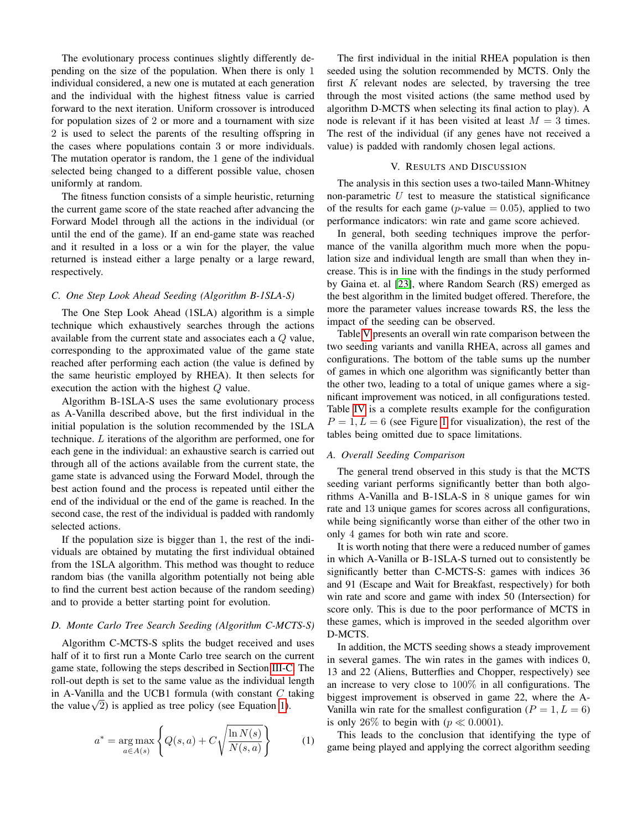The evolutionary process continues slightly differently depending on the size of the population. When there is only 1 individual considered, a new one is mutated at each generation and the individual with the highest fitness value is carried forward to the next iteration. Uniform crossover is introduced for population sizes of 2 or more and a tournament with size 2 is used to select the parents of the resulting offspring in the cases where populations contain 3 or more individuals. The mutation operator is random, the 1 gene of the individual selected being changed to a different possible value, chosen uniformly at random.

The fitness function consists of a simple heuristic, returning the current game score of the state reached after advancing the Forward Model through all the actions in the individual (or until the end of the game). If an end-game state was reached and it resulted in a loss or a win for the player, the value returned is instead either a large penalty or a large reward, respectively.

### *C. One Step Look Ahead Seeding (Algorithm B-1SLA-S)*

The One Step Look Ahead (1SLA) algorithm is a simple technique which exhaustively searches through the actions available from the current state and associates each a Q value, corresponding to the approximated value of the game state reached after performing each action (the value is defined by the same heuristic employed by RHEA). It then selects for execution the action with the highest Q value.

Algorithm B-1SLA-S uses the same evolutionary process as A-Vanilla described above, but the first individual in the initial population is the solution recommended by the 1SLA technique. L iterations of the algorithm are performed, one for each gene in the individual: an exhaustive search is carried out through all of the actions available from the current state, the game state is advanced using the Forward Model, through the best action found and the process is repeated until either the end of the individual or the end of the game is reached. In the second case, the rest of the individual is padded with randomly selected actions.

If the population size is bigger than 1, the rest of the individuals are obtained by mutating the first individual obtained from the 1SLA algorithm. This method was thought to reduce random bias (the vanilla algorithm potentially not being able to find the current best action because of the random seeding) and to provide a better starting point for evolution.

## *D. Monte Carlo Tree Search Seeding (Algorithm C-MCTS-S)*

Algorithm C-MCTS-S splits the budget received and uses half of it to first run a Monte Carlo tree search on the current game state, following the steps described in Section [III-C.](#page-2-2) The roll-out depth is set to the same value as the individual length in A-Vanilla and the UCB1 formula (with constant  $C$  taking in A-vanilla and the UCBT formula (with constant  $C$  the value $\sqrt{2}$ ) is applied as tree policy (see Equation [1\)](#page-3-1).

<span id="page-3-1"></span>
$$
a^* = \underset{a \in A(s)}{\arg \max} \left\{ Q(s, a) + C \sqrt{\frac{\ln N(s)}{N(s, a)}} \right\} \tag{1}
$$

The first individual in the initial RHEA population is then seeded using the solution recommended by MCTS. Only the first  $K$  relevant nodes are selected, by traversing the tree through the most visited actions (the same method used by algorithm D-MCTS when selecting its final action to play). A node is relevant if it has been visited at least  $M = 3$  times. The rest of the individual (if any genes have not received a value) is padded with randomly chosen legal actions.

## V. RESULTS AND DISCUSSION

<span id="page-3-0"></span>The analysis in this section uses a two-tailed Mann-Whitney non-parametric  $U$  test to measure the statistical significance of the results for each game (*p*-value  $= 0.05$ ), applied to two performance indicators: win rate and game score achieved.

In general, both seeding techniques improve the performance of the vanilla algorithm much more when the population size and individual length are small than when they increase. This is in line with the findings in the study performed by Gaina et. al [\[23\]](#page-6-19), where Random Search (RS) emerged as the best algorithm in the limited budget offered. Therefore, the more the parameter values increase towards RS, the less the impact of the seeding can be observed.

Table [V](#page-7-0) presents an overall win rate comparison between the two seeding variants and vanilla RHEA, across all games and configurations. The bottom of the table sums up the number of games in which one algorithm was significantly better than the other two, leading to a total of unique games where a significant improvement was noticed, in all configurations tested. Table [IV](#page-6-20) is a complete results example for the configuration  $P = 1, L = 6$  $P = 1, L = 6$  $P = 1, L = 6$  (see Figure 1 for visualization), the rest of the tables being omitted due to space limitations.

## *A. Overall Seeding Comparison*

The general trend observed in this study is that the MCTS seeding variant performs significantly better than both algorithms A-Vanilla and B-1SLA-S in 8 unique games for win rate and 13 unique games for scores across all configurations, while being significantly worse than either of the other two in only 4 games for both win rate and score.

It is worth noting that there were a reduced number of games in which A-Vanilla or B-1SLA-S turned out to consistently be significantly better than C-MCTS-S: games with indices 36 and 91 (Escape and Wait for Breakfast, respectively) for both win rate and score and game with index 50 (Intersection) for score only. This is due to the poor performance of MCTS in these games, which is improved in the seeded algorithm over D-MCTS.

In addition, the MCTS seeding shows a steady improvement in several games. The win rates in the games with indices 0, 13 and 22 (Aliens, Butterflies and Chopper, respectively) see an increase to very close to 100% in all configurations. The biggest improvement is observed in game 22, where the A-Vanilla win rate for the smallest configuration ( $P = 1, L = 6$ ) is only 26% to begin with ( $p \ll 0.0001$ ).

This leads to the conclusion that identifying the type of game being played and applying the correct algorithm seeding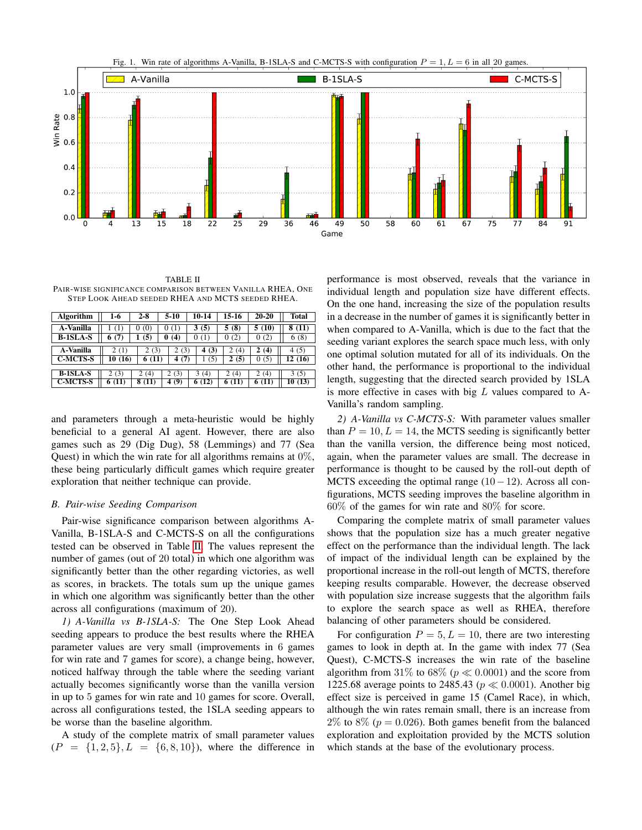<span id="page-4-0"></span>

<span id="page-4-1"></span>TABLE II PAIR-WISE SIGNIFICANCE COMPARISON BETWEEN VANILLA RHEA, ONE STEP LOOK AHEAD SEEDED RHEA AND MCTS SEEDED RHEA.

| Algorithm       | 1-6     | $2 - 8$  | $5-10$   | 10-14    | 15-16    | $20 - 20$ | <b>Total</b> |  |  |  |
|-----------------|---------|----------|----------|----------|----------|-----------|--------------|--|--|--|
| A-Vanilla       | (1)     | (0)<br>0 | (1)<br>0 | (5)<br>3 | (8)<br>5 | (10)<br>5 | (11)<br>8    |  |  |  |
| <b>B-1SLA-S</b> | (7)     | (5)      | (4)<br>0 | 0<br>(1) | (2)<br>0 | (2)<br>0  | 6(8)         |  |  |  |
| A-Vanilla       | 2(1)    | (3)<br>2 | 2(3)     | (3)<br>4 | 2<br>(4) | 2<br>(4)  | 4(5)         |  |  |  |
| <b>C-MCTS-S</b> | 10 (16) | 6(11)    | 4 (7)    | (5)      | (5)<br>2 | 0(5)      | 12 (16)      |  |  |  |
|                 |         |          |          |          |          |           |              |  |  |  |
| <b>B-1SLA-S</b> | 2(3)    | 2(4)     | 2(3)     | 3(4)     | 2(4)     | 2(4)      | 3(5)         |  |  |  |
| <b>C-MCTS-S</b> | 6 (11)  | 8(11)    | 4 (9)    | 6(12)    | 6(11)    | 6(11)     | (13)<br>10   |  |  |  |

and parameters through a meta-heuristic would be highly beneficial to a general AI agent. However, there are also games such as 29 (Dig Dug), 58 (Lemmings) and 77 (Sea Quest) in which the win rate for all algorithms remains at  $0\%$ . these being particularly difficult games which require greater exploration that neither technique can provide.

## *B. Pair-wise Seeding Comparison*

Pair-wise significance comparison between algorithms A-Vanilla, B-1SLA-S and C-MCTS-S on all the configurations tested can be observed in Table [II.](#page-4-1) The values represent the number of games (out of 20 total) in which one algorithm was significantly better than the other regarding victories, as well as scores, in brackets. The totals sum up the unique games in which one algorithm was significantly better than the other across all configurations (maximum of 20).

*1) A-Vanilla vs B-1SLA-S:* The One Step Look Ahead seeding appears to produce the best results where the RHEA parameter values are very small (improvements in 6 games for win rate and 7 games for score), a change being, however, noticed halfway through the table where the seeding variant actually becomes significantly worse than the vanilla version in up to 5 games for win rate and 10 games for score. Overall, across all configurations tested, the 1SLA seeding appears to be worse than the baseline algorithm.

A study of the complete matrix of small parameter values  $(P = \{1, 2, 5\}, L = \{6, 8, 10\})$ , where the difference in

performance is most observed, reveals that the variance in individual length and population size have different effects. On the one hand, increasing the size of the population results in a decrease in the number of games it is significantly better in when compared to A-Vanilla, which is due to the fact that the seeding variant explores the search space much less, with only one optimal solution mutated for all of its individuals. On the other hand, the performance is proportional to the individual length, suggesting that the directed search provided by 1SLA is more effective in cases with big  $L$  values compared to A-Vanilla's random sampling.

*2) A-Vanilla vs C-MCTS-S:* With parameter values smaller than  $P = 10, L = 14$ , the MCTS seeding is significantly better than the vanilla version, the difference being most noticed, again, when the parameter values are small. The decrease in performance is thought to be caused by the roll-out depth of MCTS exceeding the optimal range  $(10-12)$ . Across all configurations, MCTS seeding improves the baseline algorithm in 60% of the games for win rate and 80% for score.

Comparing the complete matrix of small parameter values shows that the population size has a much greater negative effect on the performance than the individual length. The lack of impact of the individual length can be explained by the proportional increase in the roll-out length of MCTS, therefore keeping results comparable. However, the decrease observed with population size increase suggests that the algorithm fails to explore the search space as well as RHEA, therefore balancing of other parameters should be considered.

For configuration  $P = 5, L = 10$ , there are two interesting games to look in depth at. In the game with index 77 (Sea Quest), C-MCTS-S increases the win rate of the baseline algorithm from 31% to 68% ( $p \ll 0.0001$ ) and the score from 1225.68 average points to 2485.43 ( $p \ll 0.0001$ ). Another big effect size is perceived in game 15 (Camel Race), in which, although the win rates remain small, there is an increase from  $2\%$  to 8% ( $p = 0.026$ ). Both games benefit from the balanced exploration and exploitation provided by the MCTS solution which stands at the base of the evolutionary process.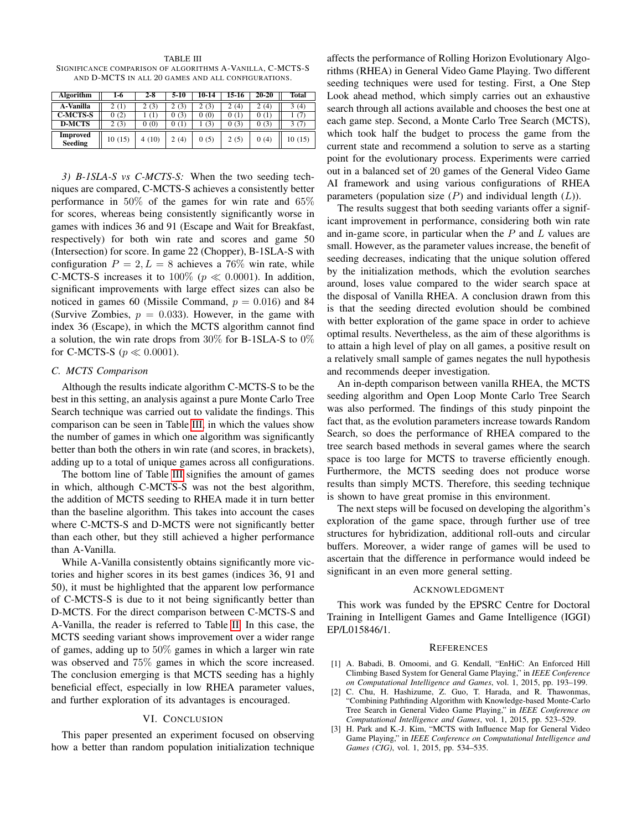| Algorithm                  | 1-6             | $2 - 8$                | $5-10$ | 10-14    | 15-16 | $20 - 20$ | <b>Total</b> |
|----------------------------|-----------------|------------------------|--------|----------|-------|-----------|--------------|
| A-Vanilla                  | (1)             | (3)                    | (3)    | (3)<br>2 | (4)   | 2(4)      | 3(4)         |
| <b>C-MCTS-S</b>            | (2)<br>$^{(1)}$ | $\left( \quad \right)$ | 0(3)   | 0(0)     | 0(1)  | 0(1)      |              |
| <b>D-MCTS</b>              | (3)             | 0(0)                   | 0(1)   | (3)      | 0(3)  | 0(3)      | 3(7)         |
| Improved<br><b>Seeding</b> | 10(15)          | 4(10)                  | 2(4)   | 0(5)     | 2(5)  | 0(4)      | 10(15)       |

<span id="page-5-4"></span>TABLE III SIGNIFICANCE COMPARISON OF ALGORITHMS A-VANILLA, C-MCTS-S AND D-MCTS IN ALL 20 GAMES AND ALL CONFIGURATIONS.

*3) B-1SLA-S vs C-MCTS-S:* When the two seeding techniques are compared, C-MCTS-S achieves a consistently better performance in 50% of the games for win rate and 65% for scores, whereas being consistently significantly worse in games with indices 36 and 91 (Escape and Wait for Breakfast, respectively) for both win rate and scores and game 50 (Intersection) for score. In game 22 (Chopper), B-1SLA-S with configuration  $P = 2, L = 8$  achieves a 76% win rate, while C-MCTS-S increases it to 100% ( $p \ll 0.0001$ ). In addition, significant improvements with large effect sizes can also be noticed in games 60 (Missile Command,  $p = 0.016$ ) and 84 (Survive Zombies,  $p = 0.033$ ). However, in the game with index 36 (Escape), in which the MCTS algorithm cannot find a solution, the win rate drops from  $30\%$  for B-1SLA-S to  $0\%$ for C-MCTS-S ( $p \ll 0.0001$ ).

## *C. MCTS Comparison*

Although the results indicate algorithm C-MCTS-S to be the best in this setting, an analysis against a pure Monte Carlo Tree Search technique was carried out to validate the findings. This comparison can be seen in Table [III,](#page-5-4) in which the values show the number of games in which one algorithm was significantly better than both the others in win rate (and scores, in brackets), adding up to a total of unique games across all configurations.

The bottom line of Table [III](#page-5-4) signifies the amount of games in which, although C-MCTS-S was not the best algorithm, the addition of MCTS seeding to RHEA made it in turn better than the baseline algorithm. This takes into account the cases where C-MCTS-S and D-MCTS were not significantly better than each other, but they still achieved a higher performance than A-Vanilla.

While A-Vanilla consistently obtains significantly more victories and higher scores in its best games (indices 36, 91 and 50), it must be highlighted that the apparent low performance of C-MCTS-S is due to it not being significantly better than D-MCTS. For the direct comparison between C-MCTS-S and A-Vanilla, the reader is referred to Table [II.](#page-4-1) In this case, the MCTS seeding variant shows improvement over a wider range of games, adding up to  $50\%$  games in which a larger win rate was observed and 75% games in which the score increased. The conclusion emerging is that MCTS seeding has a highly beneficial effect, especially in low RHEA parameter values, and further exploration of its advantages is encouraged.

## VI. CONCLUSION

<span id="page-5-3"></span>This paper presented an experiment focused on observing how a better than random population initialization technique affects the performance of Rolling Horizon Evolutionary Algorithms (RHEA) in General Video Game Playing. Two different seeding techniques were used for testing. First, a One Step Look ahead method, which simply carries out an exhaustive search through all actions available and chooses the best one at each game step. Second, a Monte Carlo Tree Search (MCTS), which took half the budget to process the game from the current state and recommend a solution to serve as a starting point for the evolutionary process. Experiments were carried out in a balanced set of 20 games of the General Video Game AI framework and using various configurations of RHEA parameters (population size  $(P)$  and individual length  $(L)$ ).

The results suggest that both seeding variants offer a significant improvement in performance, considering both win rate and in-game score, in particular when the  $P$  and  $L$  values are small. However, as the parameter values increase, the benefit of seeding decreases, indicating that the unique solution offered by the initialization methods, which the evolution searches around, loses value compared to the wider search space at the disposal of Vanilla RHEA. A conclusion drawn from this is that the seeding directed evolution should be combined with better exploration of the game space in order to achieve optimal results. Nevertheless, as the aim of these algorithms is to attain a high level of play on all games, a positive result on a relatively small sample of games negates the null hypothesis and recommends deeper investigation.

An in-depth comparison between vanilla RHEA, the MCTS seeding algorithm and Open Loop Monte Carlo Tree Search was also performed. The findings of this study pinpoint the fact that, as the evolution parameters increase towards Random Search, so does the performance of RHEA compared to the tree search based methods in several games where the search space is too large for MCTS to traverse efficiently enough. Furthermore, the MCTS seeding does not produce worse results than simply MCTS. Therefore, this seeding technique is shown to have great promise in this environment.

The next steps will be focused on developing the algorithm's exploration of the game space, through further use of tree structures for hybridization, additional roll-outs and circular buffers. Moreover, a wider range of games will be used to ascertain that the difference in performance would indeed be significant in an even more general setting.

## ACKNOWLEDGMENT

This work was funded by the EPSRC Centre for Doctoral Training in Intelligent Games and Game Intelligence (IGGI) EP/L015846/1.

#### **REFERENCES**

- <span id="page-5-0"></span>[1] A. Babadi, B. Omoomi, and G. Kendall, "EnHiC: An Enforced Hill Climbing Based System for General Game Playing," in *IEEE Conference on Computational Intelligence and Games*, vol. 1, 2015, pp. 193–199.
- <span id="page-5-1"></span>[2] C. Chu, H. Hashizume, Z. Guo, T. Harada, and R. Thawonmas, "Combining Pathfinding Algorithm with Knowledge-based Monte-Carlo Tree Search in General Video Game Playing," in *IEEE Conference on Computational Intelligence and Games*, vol. 1, 2015, pp. 523–529.
- <span id="page-5-2"></span>[3] H. Park and K.-J. Kim, "MCTS with Influence Map for General Video Game Playing," in *IEEE Conference on Computational Intelligence and Games (CIG)*, vol. 1, 2015, pp. 534–535.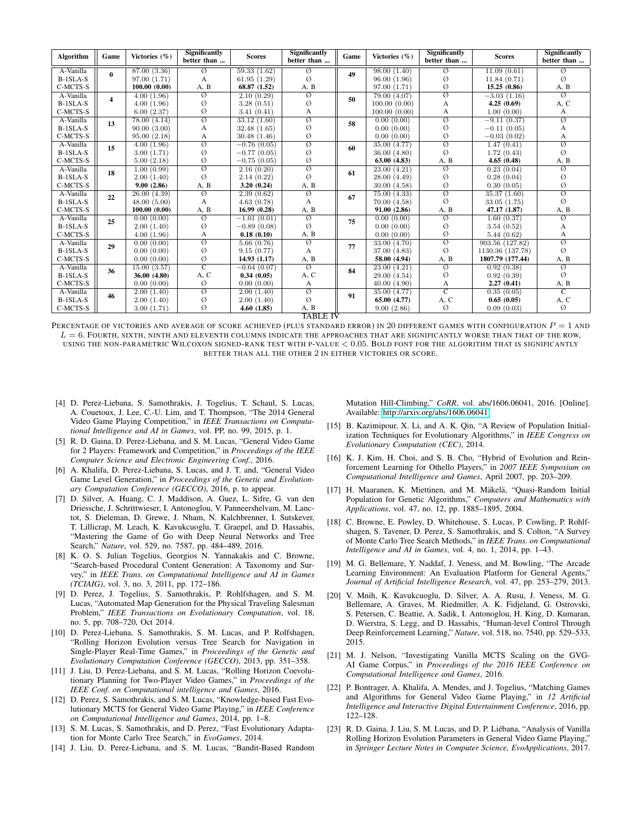| Algorithm  | Game                    | Victories (%) | Significantly<br>better than | <b>Scores</b> | Significantly<br>better than | Game | Victories $(\% )$ | Significantly<br>better than | <b>Scores</b>    | <b>Significantly</b><br>better than |
|------------|-------------------------|---------------|------------------------------|---------------|------------------------------|------|-------------------|------------------------------|------------------|-------------------------------------|
| A-Vanilla  | $\mathbf{0}$            | 87.00(3.36)   | $\overline{\emptyset}$       | 59.33(1.62)   | Ø                            | 49   | 98.00(1.40)       | Ø                            | 11.09(0.61)      | Ø                                   |
| $B-1SLA-S$ |                         | 97.00 (1.71)  | A                            | 61.95(1.29)   | $\emptyset$                  |      | 96.00(1.96)       | Ø                            | 11.84(0.71)      | $\varnothing$                       |
| C-MCTS-S   |                         | 100.00(0.00)  | A, B                         | 68.87 (1.52)  | A, B                         |      | 97.00(1.71)       | Ø                            | 15.25 (0.86)     | A, B                                |
| A-Vanilla  | $\overline{\mathbf{4}}$ | 4.00(1.96)    | Ø                            | 2.10(0.29)    | Ø                            | 50   | 79.00 (4.07)      | Ø                            | $-3.03(1.16)$    | Ø                                   |
| $B-1SLA-S$ |                         | 4.00(1.96)    | Ø                            | 3.28(0.51)    | Ø                            |      | 100.00(0.00)      | A                            | 4.25(0.69)       | A, C                                |
| C-MCTS-S   |                         | 6.00(2.37)    | Ø                            | 3.41(0.41)    | A                            |      | 100.00(0.00)      | A                            | 1.00(0.00)       | A                                   |
| A-Vanilla  | 13                      | 78.00(4.14)   | $\overline{\emptyset}$       | 33.12(1.60)   | Ø                            | 58   | 0.00(0.00)        | Ø                            | $-9.11(0.37)$    | Ø                                   |
| B-1SLA-S   |                         | 90.00(3.00)   | A                            | 32.48(1.65)   | Ø                            |      | 0.00(0.00)        | Ø                            | $-0.11(0.05)$    | A                                   |
| C-MCTS-S   |                         | 95.00(2.18)   | А                            | 30.48(1.46)   | Ø                            |      | 0.00(0.00)        | Ø                            | $-0.03(0.02)$    | A                                   |
| A-Vanilla  | 15                      | 4.00(1.96)    | Ø                            | $-0.76(0.05)$ | Ø                            | 60   | 35.00 (4.77)      | Ø                            | 1.47(0.41)       | $\overline{\emptyset}$              |
| $B-1SLA-S$ |                         | 3.00(1.71)    | Ø                            | $-0.77(0.05)$ | Ø                            |      | 36.00(4.80)       | Ø                            | 1.72(0.43)       | $\varnothing$                       |
| C-MCTS-S   |                         | 5.00(2.18)    | Ø                            | $-0.75(0.05)$ | Ø                            |      | 63.00(4.83)       | A, B                         | 4.65(0.48)       | A, B                                |
| A-Vanilla  | 18                      | 1.00(0.99)    | Ø                            | 2.16(0.20)    | Ø                            | 61   | 23.00(4.21)       | Ø                            | 0.23(0.04)       | Ø                                   |
| $B-1SLA-S$ |                         | 2.00(1.40)    | $\varnothing$                | 2.14(0.22)    | $\varnothing$                |      | 28.00 (4.49)      | Ø                            | 0.28(0.04)       | Ø                                   |
| C-MCTS-S   |                         | 9.00(2.86)    | A, B                         | 3.20(0.24)    | A, B                         |      | 30.00(4.58)       | Ø                            | 0.30(0.05)       | Ø                                   |
| A-Vanilla  | 22                      | 26.00(4.39)   | $\overline{\emptyset}$       | 2.39(0.62)    | Ø                            | 67   | 75.00(4.33)       | Ø                            | 35.37(1.60)      | Ø                                   |
| $B-1SLA-S$ |                         | 48.00(5.00)   | A                            | 4.63(0.78)    | A                            |      | 70.00(4.58)       | $\varnothing$                | 33.05(1.75)      | $\varnothing$                       |
| C-MCTS-S   |                         | 100.00(0.00)  | A, B                         | 16.99(0.28)   | A, B                         |      | 91.00 (2.86)      | A, B                         | 47.17 (1.87)     | A, B                                |
| A-Vanilla  | 25                      | 0.00(0.00)    | $\overline{\emptyset}$       | $-1.01(0.01)$ | Ø                            | 75   | 0.00(0.00)        | Ø                            | 1.60(0.37)       | Ø                                   |
| $B-1SLA-S$ |                         | 2.00(1.40)    | Ø                            | $-0.89(0.08)$ | $\emptyset$                  |      | 0.00(0.00)        | Ø                            | 3.54(0.52)       | А                                   |
| C-MCTS-S   |                         | 4.00(1.96)    | A                            | 0.18(0.10)    | A, B                         |      | 0.00(0.00)        | Ø                            | 5.44(0.62)       | A                                   |
| A-Vanilla  | 29                      | 0.00(0.00)    | Ø                            | 5.66(0.76)    | Ø                            | 77   | 33.00(4.70)       | $\overline{\emptyset}$       | 903.56 (127.82)  | $\overline{\emptyset}$              |
| $B-1SLA-S$ |                         | 0.00(0.00)    | Ø                            | 9.15(0.77)    | A                            |      | 37.00 (4.83)      | Ø                            | 1130.36 (137.78) | $\varnothing$                       |
| C-MCTS-S   |                         | 0.00(0.00)    | Ø                            | 14.93 (1.17)  | A, B                         |      | 58.00 (4.94)      | A, B                         | 1807.79 (177.44) | A, B                                |
| A-Vanilla  | 36                      | 15.00(3.57)   | $\overline{C}$               | $-0.64(0.07)$ | Ø                            | 84   | 23.00(4.21)       | Ø                            | 0.92(0.38)       | Ø                                   |
| $B-1SLA-S$ |                         | 36.00(4.80)   | A, C                         | 0.34(0.05)    | A, C                         |      | 29.00(4.54)       | Ø                            | 0.92(0.39)       | $\emptyset$                         |
| C-MCTS-S   |                         | 0.00(0.00)    | Ø                            | 0.00(0.00)    | A                            |      | 40.00(4.90)       | A                            | 2.27(0.41)       | A, B                                |
| A-Vanilla  | 46                      | 2.00(1.40)    | Ø                            | 2.00(1.40)    | Ø                            | 91   | 35.00 (4.77)      | $\overline{\mathsf{C}}$      | 0.35(0.05)       | $\overline{C}$                      |
| $B-1SLA-S$ |                         | 2.00(1.40)    | Ø                            | 2.00(1.40)    | $\varnothing$                |      | 65.00 (4.77)      | A, C                         | 0.65(0.05)       | A, C                                |
| C-MCTS-S   |                         | 3.00(1.71)    | Ø                            | 4.60(1.85)    | A, B                         |      | 9.00(2.86)        | $\varnothing$                | 0.09(0.03)       | $\varnothing$                       |
| TABLE IV   |                         |               |                              |               |                              |      |                   |                              |                  |                                     |

<span id="page-6-20"></span>PERCENTAGE OF VICTORIES AND AVERAGE OF SCORE ACHIEVED (PLUS STANDARD ERROR) IN 20 DIFFERENT GAMES WITH CONFIGURATION  $P = 1$  and  $L = 6$ . FOURTH, SIXTH, NINTH AND ELEVENTH COLUMNS INDICATE THE APPROACHES THAT ARE SIGNIFICANTLY WORSE THAN THAT OF THE ROW, USING THE NON-PARAMETRIC WILCOXON SIGNED-RANK TEST WITH P-VALUE < 0.05. BOLD FONT FOR THE ALGORITHM THAT IS SIGNIFICANTLY BETTER THAN ALL THE OTHER 2 IN EITHER VICTORIES OR SCORE.

- <span id="page-6-0"></span>[4] D. Perez-Liebana, S. Samothrakis, J. Togelius, T. Schaul, S. Lucas, A. Couetoux, J. Lee, C.-U. Lim, and T. Thompson, "The 2014 General Video Game Playing Competition," in *IEEE Transactions on Computational Intelligence and AI in Games*, vol. PP, no. 99, 2015, p. 1.
- <span id="page-6-1"></span>[5] R. D. Gaina, D. Perez-Liebana, and S. M. Lucas, "General Video Game for 2 Players: Framework and Competition," in *Proceedings of the IEEE Computer Science and Electronic Engineering Conf.*, 2016.
- <span id="page-6-2"></span>[6] A. Khalifa, D. Perez-Liebana, S. Lucas, and J. T. and, "General Video Game Level Generation," in *Proceedings of the Genetic and Evolutionary Computation Conference (GECCO)*, 2016, p. to appear.
- <span id="page-6-3"></span>[7] D. Silver, A. Huang, C. J. Maddison, A. Guez, L. Sifre, G. van den Driessche, J. Schrittwieser, I. Antonoglou, V. Panneershelvam, M. Lanctot, S. Dieleman, D. Grewe, J. Nham, N. Kalchbrenner, I. Sutskever, T. Lillicrap, M. Leach, K. Kavukcuoglu, T. Graepel, and D. Hassabis, "Mastering the Game of Go with Deep Neural Networks and Tree Search," *Nature*, vol. 529, no. 7587, pp. 484–489, 2016.
- <span id="page-6-4"></span>[8] K. O. S. Julian Togelius, Georgios N. Yannakakis and C. Browne, "Search-based Procedural Content Generation: A Taxonomy and Survey," in *IEEE Trans. on Computational Intelligence and AI in Games (TCIAIG)*, vol. 3, no. 3, 2011, pp. 172–186.
- <span id="page-6-5"></span>[9] D. Perez, J. Togelius, S. Samothrakis, P. Rohlfshagen, and S. M. Lucas, "Automated Map Generation for the Physical Traveling Salesman Problem," *IEEE Transactions on Evolutionary Computation*, vol. 18, no. 5, pp. 708–720, Oct 2014.
- <span id="page-6-6"></span>[10] D. Perez-Liebana, S. Samothrakis, S. M. Lucas, and P. Rolfshagen, "Rolling Horizon Evolution versus Tree Search for Navigation in Single-Player Real-Time Games," in *Proceedings of the Genetic and Evolutionary Computation Conference (GECCO)*, 2013, pp. 351–358.
- <span id="page-6-7"></span>[11] J. Liu, D. Perez-Liebana, and S. M. Lucas, "Rolling Horizon Coevolutionary Planning for Two-Player Video Games," in *Proceedings of the IEEE Conf. on Computational intelligence and Games*, 2016.
- <span id="page-6-8"></span>[12] D. Perez, S. Samothrakis, and S. M. Lucas, "Knowledge-based Fast Evolutionary MCTS for General Video Game Playing," in *IEEE Conference on Computational Intelligence and Games*, 2014, pp. 1–8.
- <span id="page-6-9"></span>[13] S. M. Lucas, S. Samothrakis, and D. Perez, "Fast Evolutionary Adaptation for Monte Carlo Tree Search," in *EvoGames*, 2014.
- <span id="page-6-10"></span>[14] J. Liu, D. Perez-Liebana, and S. M. Lucas, "Bandit-Based Random

Mutation Hill-Climbing," *CoRR*, vol. abs/1606.06041, 2016. [Online]. Available:<http://arxiv.org/abs/1606.06041>

- <span id="page-6-11"></span>[15] B. Kazimipour, X. Li, and A. K. Qin, "A Review of Population Initialization Techniques for Evolutionary Algorithms," in *IEEE Congress on Evolutionary Computation (CEC)*, 2014.
- <span id="page-6-12"></span>[16] K. J. Kim, H. Choi, and S. B. Cho, "Hybrid of Evolution and Reinforcement Learning for Othello Players," in *2007 IEEE Symposium on Computational Intelligence and Games*, April 2007, pp. 203–209.
- <span id="page-6-13"></span>[17] H. Maaranen, K. Miettinen, and M. Mäkelä, "Quasi-Random Initial Population for Genetic Algorithms," *Computers and Mathematics with Applications*, vol. 47, no. 12, pp. 1885–1895, 2004.
- <span id="page-6-14"></span>[18] C. Browne, E. Powley, D. Whitehouse, S. Lucas, P. Cowling, P. Rohlfshagen, S. Tavener, D. Perez, S. Samothrakis, and S. Colton, "A Survey of Monte Carlo Tree Search Methods," in *IEEE Trans. on Computational Intelligence and AI in Games*, vol. 4, no. 1, 2014, pp. 1–43.
- <span id="page-6-15"></span>[19] M. G. Bellemare, Y. Naddaf, J. Veness, and M. Bowling, "The Arcade Learning Environment: An Evaluation Platform for General Agents," *Journal of Artificial Intelligence Research*, vol. 47, pp. 253–279, 2013.
- <span id="page-6-16"></span>[20] V. Mnih, K. Kavukcuoglu, D. Silver, A. A. Rusu, J. Veness, M. G. Bellemare, A. Graves, M. Riedmiller, A. K. Fidjeland, G. Ostrovski, S. Petersen, C. Beattie, A. Sadik, I. Antonoglou, H. King, D. Kumaran, D. Wierstra, S. Legg, and D. Hassabis, "Human-level Control Through Deep Reinforcement Learning," *Nature*, vol. 518, no. 7540, pp. 529–533, 2015.
- <span id="page-6-17"></span>[21] M. J. Nelson, "Investigating Vanilla MCTS Scaling on the GVG-AI Game Corpus," in *Proceedings of the 2016 IEEE Conference on Computational Intelligence and Games*, 2016.
- <span id="page-6-18"></span>[22] P. Bontrager, A. Khalifa, A. Mendes, and J. Togelius, "Matching Games and Algorithms for General Video Game Playing," in *12 Artificial Intelligence and Interactive Digital Entertainment Conference*, 2016, pp. 122–128.
- <span id="page-6-19"></span>[23] R. D. Gaina, J. Liu, S. M. Lucas, and D. P. Liébana, "Analysis of Vanilla Rolling Horizon Evolution Parameters in General Video Game Playing," in *Springer Lecture Notes in Computer Science, EvoApplications*, 2017.